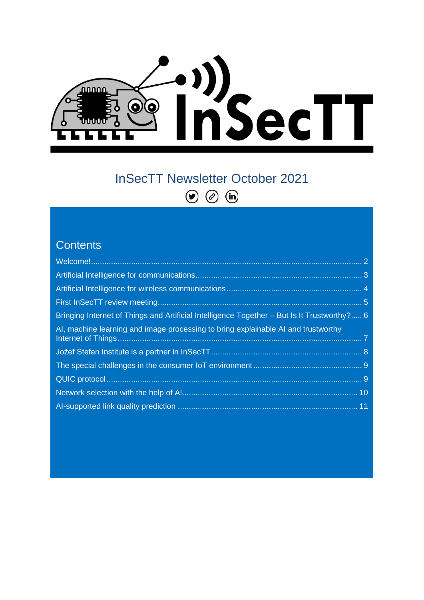

# InSecTT Newsletter October 2021  $\odot$  $\odot$   $\odot$

#### **Contents**

| Bringing Internet of Things and Artificial Intelligence Together – But Is It Trustworthy? 6 |  |
|---------------------------------------------------------------------------------------------|--|
| Al, machine learning and image processing to bring explainable AI and trustworthy           |  |
|                                                                                             |  |
|                                                                                             |  |
|                                                                                             |  |
|                                                                                             |  |
|                                                                                             |  |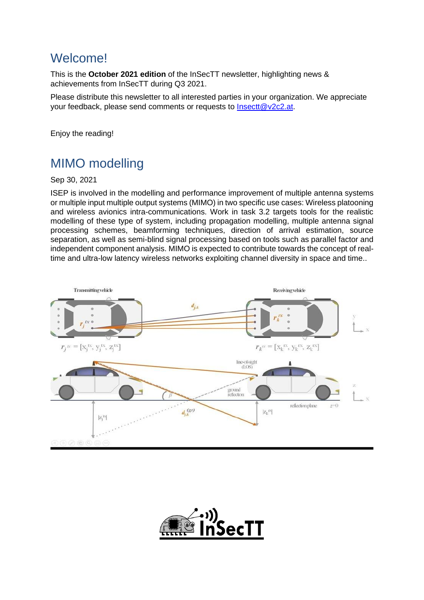#### <span id="page-1-0"></span>**Welcome!**

This is the **October 2021 edition** of the InSecTT newsletter, highlighting news & achievements from InSecTT during Q3 2021.

Please distribute this newsletter to all interested parties in your organization. We appreciate your feedback, please send comments or requests to [Insectt@v2c2.at.](mailto:Insectt@v2c2.at)

Enjoy the reading!

## MIMO modelling

Sep 30, 2021

ISEP is involved in the modelling and performance improvement of multiple antenna systems or multiple input multiple output systems (MIMO) in two specific use cases: Wireless platooning and wireless avionics intra-communications. Work in task 3.2 targets tools for the realistic modelling of these type of system, including propagation modelling, multiple antenna signal processing schemes, beamforming techniques, direction of arrival estimation, source separation, as well as semi-blind signal processing based on tools such as parallel factor and independent component analysis. MIMO is expected to contribute towards the concept of realtime and ultra-low latency wireless networks exploiting channel diversity in space and time..



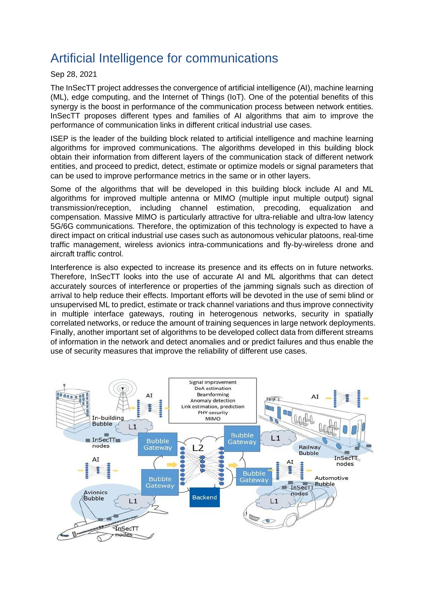### <span id="page-2-0"></span>Artificial Intelligence for communications

#### Sep 28, 2021

The InSecTT project addresses the convergence of artificial intelligence (AI), machine learning (ML), edge computing, and the Internet of Things (IoT). One of the potential benefits of this synergy is the boost in performance of the communication process between network entities. InSecTT proposes different types and families of AI algorithms that aim to improve the performance of communication links in different critical industrial use cases.

ISEP is the leader of the building block related to artificial intelligence and machine learning algorithms for improved communications. The algorithms developed in this building block obtain their information from different layers of the communication stack of different network entities, and proceed to predict, detect, estimate or optimize models or signal parameters that can be used to improve performance metrics in the same or in other layers.

Some of the algorithms that will be developed in this building block include AI and ML algorithms for improved multiple antenna or MIMO (multiple input multiple output) signal transmission/reception, including channel estimation, precoding, equalization and compensation. Massive MIMO is particularly attractive for ultra-reliable and ultra-low latency 5G/6G communications. Therefore, the optimization of this technology is expected to have a direct impact on critical industrial use cases such as autonomous vehicular platoons, real-time traffic management, wireless avionics intra-communications and fly-by-wireless drone and aircraft traffic control.

Interference is also expected to increase its presence and its effects on in future networks. Therefore, InSecTT looks into the use of accurate AI and ML algorithms that can detect accurately sources of interference or properties of the jamming signals such as direction of arrival to help reduce their effects. Important efforts will be devoted in the use of semi blind or unsupervised ML to predict, estimate or track channel variations and thus improve connectivity in multiple interface gateways, routing in heterogenous networks, security in spatially correlated networks, or reduce the amount of training sequences in large network deployments. Finally, another important set of algorithms to be developed collect data from different streams of information in the network and detect anomalies and or predict failures and thus enable the use of security measures that improve the reliability of different use cases.

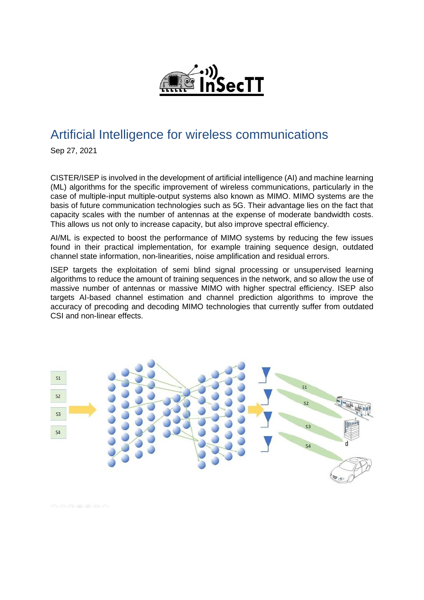

#### <span id="page-3-0"></span>Artificial Intelligence for wireless communications

Sep 27, 2021

CISTER/ISEP is involved in the development of artificial intelligence (AI) and machine learning (ML) algorithms for the specific improvement of wireless communications, particularly in the case of multiple-input multiple-output systems also known as MIMO. MIMO systems are the basis of future communication technologies such as 5G. Their advantage lies on the fact that capacity scales with the number of antennas at the expense of moderate bandwidth costs. This allows us not only to increase capacity, but also improve spectral efficiency.

AI/ML is expected to boost the performance of MIMO systems by reducing the few issues found in their practical implementation, for example training sequence design, outdated channel state information, non-linearities, noise amplification and residual errors.

ISEP targets the exploitation of semi blind signal processing or unsupervised learning algorithms to reduce the amount of training sequences in the network, and so allow the use of massive number of antennas or massive MIMO with higher spectral efficiency. ISEP also targets AI-based channel estimation and channel prediction algorithms to improve the accuracy of precoding and decoding MIMO technologies that currently suffer from outdated CSI and non-linear effects.



OODEAR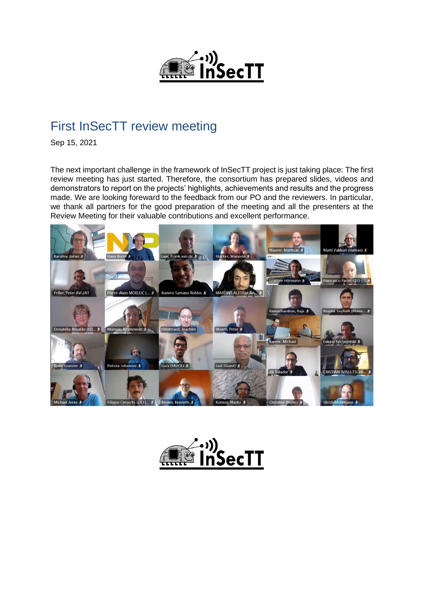

#### <span id="page-4-0"></span>First InSecTT review meeting

Sep 15, 2021

The next important challenge in the framework of InSecTT project is just taking place: The first review meeting has just started. Therefore, the consortium has prepared slides, videos and demonstrators to report on the projects' highlights, achievements and results and the progress made. We are looking foreward to the feedback from our PO and the reviewers. In particular, we thank all partners for the good preparation of the meeting and all the presenters at the Review Meeting for their valuable contributions and excellent performance.



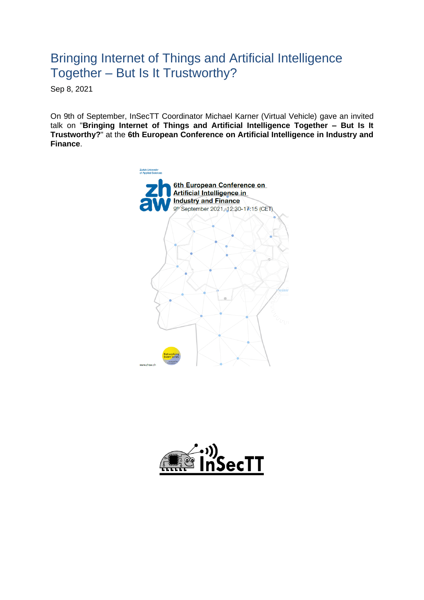#### <span id="page-5-0"></span>Bringing Internet of Things and Artificial Intelligence Together – But Is It Trustworthy?

Sep 8, 2021

On 9th of September, InSecTT Coordinator Michael Karner (Virtual Vehicle) gave an invited talk on "**Bringing Internet of Things and Artificial Intelligence Together – But Is It Trustworthy?**" at the **6th European Conference on Artificial Intelligence in Industry and Finance**.



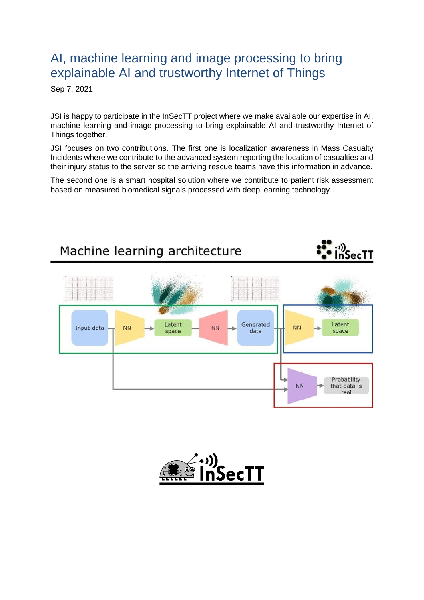#### <span id="page-6-0"></span>AI, machine learning and image processing to bring explainable AI and trustworthy Internet of Things

Sep 7, 2021

JSI is happy to participate in the InSecTT project where we make available our expertise in AI, machine learning and image processing to bring explainable AI and trustworthy Internet of Things together.

JSI focuses on two contributions. The first one is localization awareness in Mass Casualty Incidents where we contribute to the advanced system reporting the location of casualties and their injury status to the server so the arriving rescue teams have this information in advance.

The second one is a smart hospital solution where we contribute to patient risk assessment based on measured biomedical signals processed with deep learning technology..



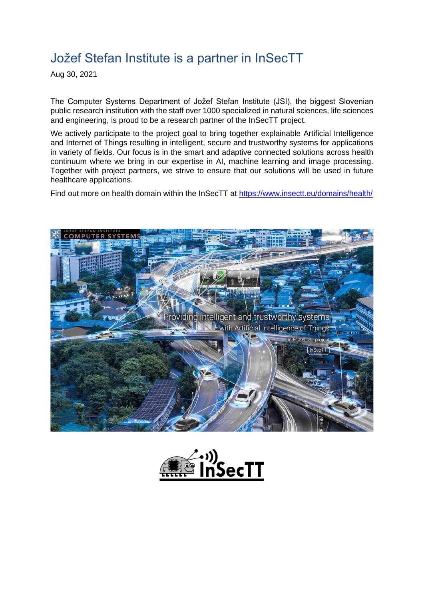### <span id="page-7-0"></span>Jožef Stefan Institute is a partner in InSecTT

Aug 30, 2021

The Computer Systems Department of Jožef Stefan Institute (JSI), the biggest Slovenian public research institution with the staff over 1000 specialized in natural sciences, life sciences and engineering, is proud to be a research partner of the InSecTT project.

We actively participate to the project goal to bring together explainable Artificial Intelligence and Internet of Things resulting in intelligent, secure and trustworthy systems for applications in variety of fields. Our focus is in the smart and adaptive connected solutions across health continuum where we bring in our expertise in AI, machine learning and image processing. Together with project partners, we strive to ensure that our solutions will be used in future healthcare applications.

Find out more on health domain within the InSecTT at<https://www.insectt.eu/domains/health/>



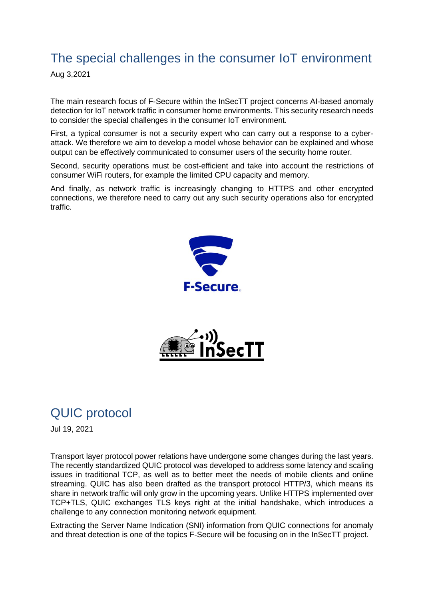## <span id="page-8-0"></span>The special challenges in the consumer IoT environment

Aug 3,2021

The main research focus of F-Secure within the InSecTT project concerns AI-based anomaly detection for IoT network traffic in consumer home environments. This security research needs to consider the special challenges in the consumer IoT environment.

First, a typical consumer is not a security expert who can carry out a response to a cyberattack. We therefore we aim to develop a model whose behavior can be explained and whose output can be effectively communicated to consumer users of the security home router.

Second, security operations must be cost-efficient and take into account the restrictions of consumer WiFi routers, for example the limited CPU capacity and memory.

And finally, as network traffic is increasingly changing to HTTPS and other encrypted connections, we therefore need to carry out any such security operations also for encrypted traffic.





## <span id="page-8-1"></span>QUIC protocol

Jul 19, 2021

Transport layer protocol power relations have undergone some changes during the last years. The recently standardized QUIC protocol was developed to address some latency and scaling issues in traditional TCP, as well as to better meet the needs of mobile clients and online streaming. QUIC has also been drafted as the transport protocol HTTP/3, which means its share in network traffic will only grow in the upcoming years. Unlike HTTPS implemented over TCP+TLS, QUIC exchanges TLS keys right at the initial handshake, which introduces a challenge to any connection monitoring network equipment.

Extracting the Server Name Indication (SNI) information from QUIC connections for anomaly and threat detection is one of the topics F-Secure will be focusing on in the InSecTT project.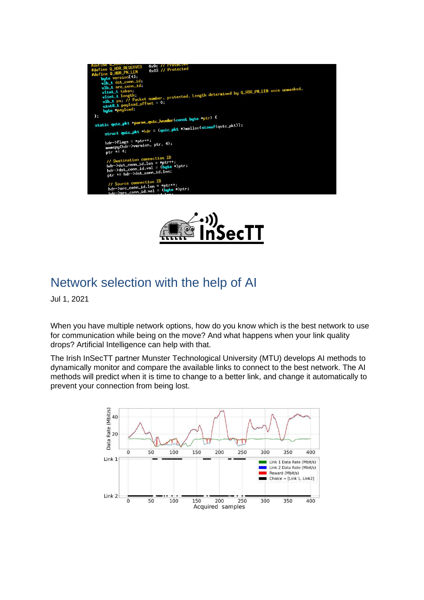



#### <span id="page-9-0"></span>Network selection with the help of AI

Jul 1, 2021

When you have multiple network options, how do you know which is the best network to use for communication while being on the move? And what happens when your link quality drops? Artificial Intelligence can help with that.

The Irish InSecTT partner Munster Technological University (MTU) develops AI methods to dynamically monitor and compare the available links to connect to the best network. The AI methods will predict when it is time to change to a better link, and change it automatically to prevent your connection from being lost.